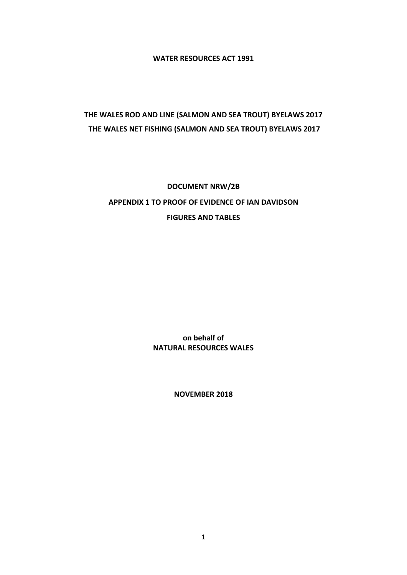**WATER RESOURCES ACT 1991**

## **THE WALES ROD AND LINE (SALMON AND SEA TROUT) BYELAWS 2017 THE WALES NET FISHING (SALMON AND SEA TROUT) BYELAWS 2017**

## **DOCUMENT NRW/2B APPENDIX 1 TO PROOF OF EVIDENCE OF IAN DAVIDSON FIGURES AND TABLES**

**on behalf of NATURAL RESOURCES WALES**

**NOVEMBER 2018**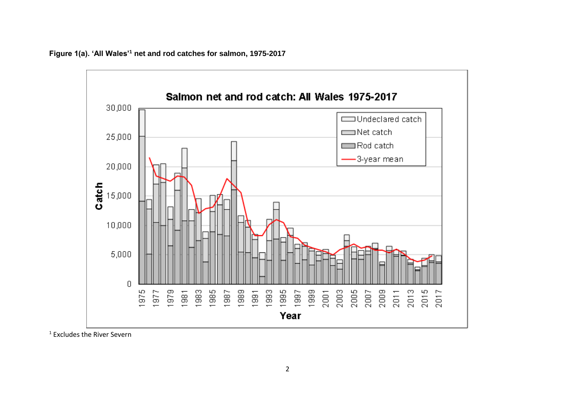

**Figure 1(a). 'All Wales'<sup>1</sup> net and rod catches for salmon, 1975-2017**

<sup>1</sup> Excludes the River Severn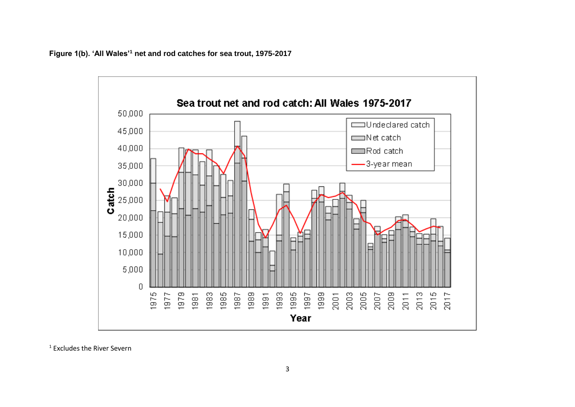



<sup>1</sup> Excludes the River Severn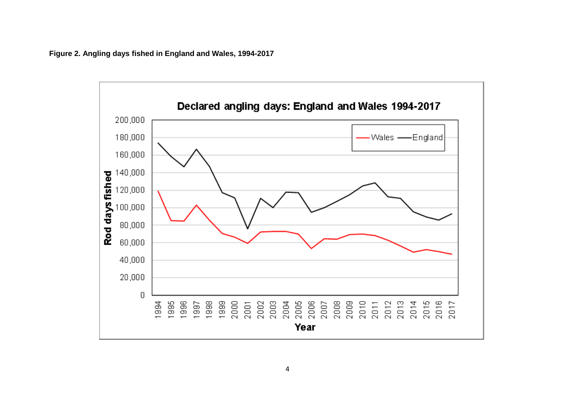**Figure 2. Angling days fished in England and Wales, 1994-2017**

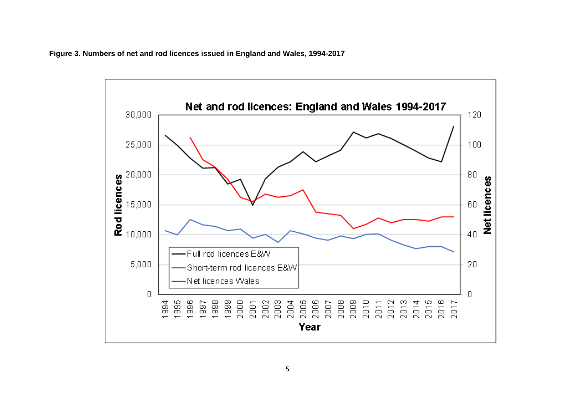**Figure 3. Numbers of net and rod licences issued in England and Wales, 1994-2017**

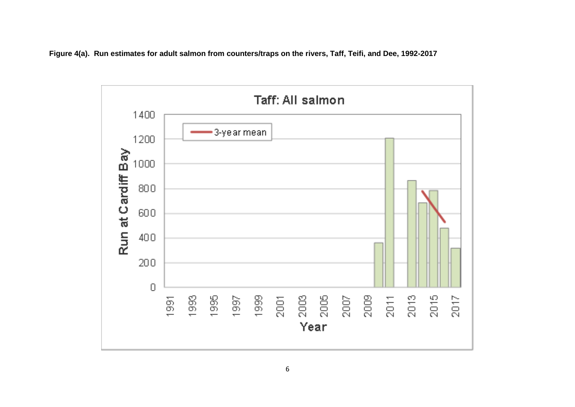**Figure 4(a). Run estimates for adult salmon from counters/traps on the rivers, Taff, Teifi, and Dee, 1992-2017**

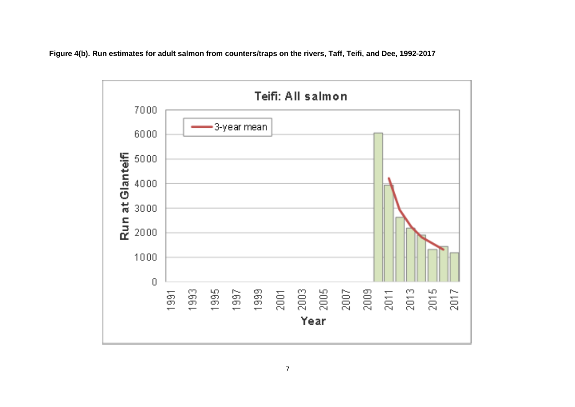**Figure 4(b). Run estimates for adult salmon from counters/traps on the rivers, Taff, Teifi, and Dee, 1992-2017**

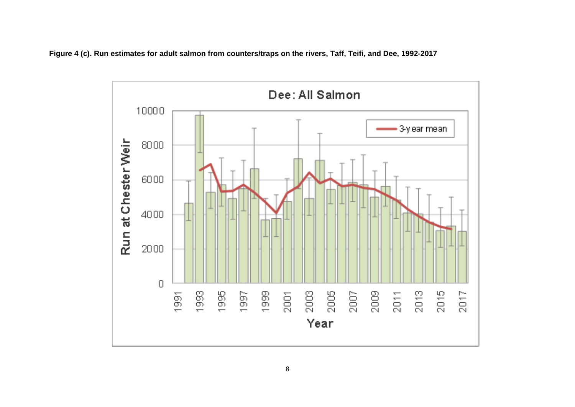**Figure 4 (c). Run estimates for adult salmon from counters/traps on the rivers, Taff, Teifi, and Dee, 1992-2017**

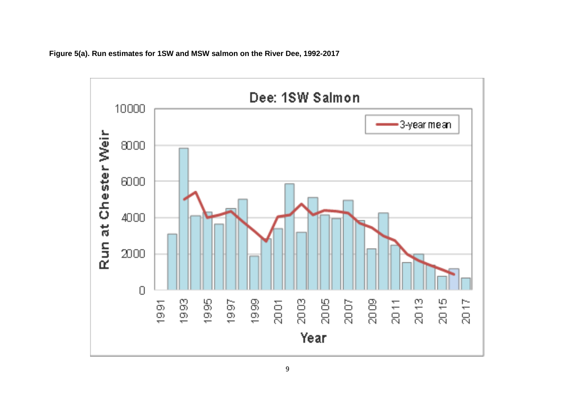

**Figure 5(a). Run estimates for 1SW and MSW salmon on the River Dee, 1992-2017**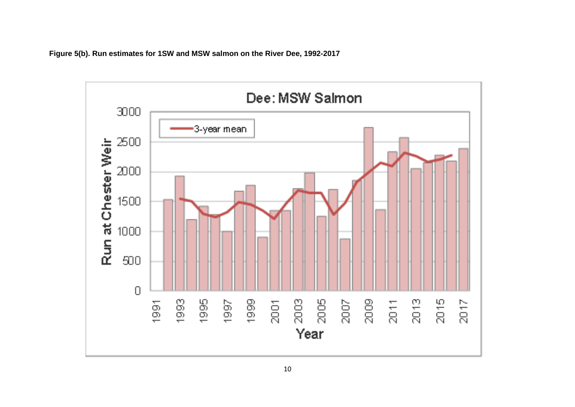**Figure 5(b). Run estimates for 1SW and MSW salmon on the River Dee, 1992-2017**

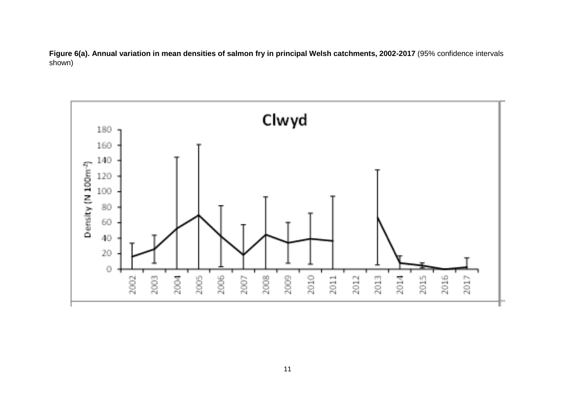**Figure 6(a). Annual variation in mean densities of salmon fry in principal Welsh catchments, 2002-2017** (95% confidence intervals shown)

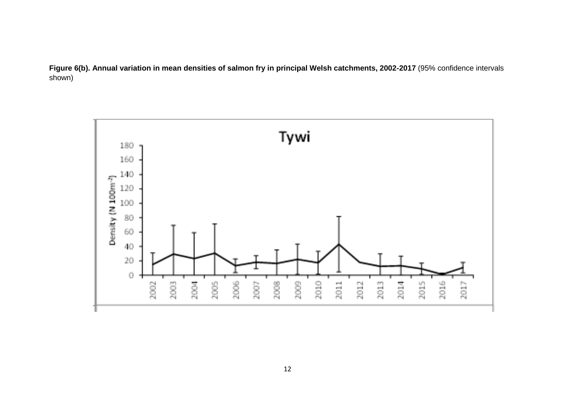**Figure 6(b). Annual variation in mean densities of salmon fry in principal Welsh catchments, 2002-2017** (95% confidence intervals shown)

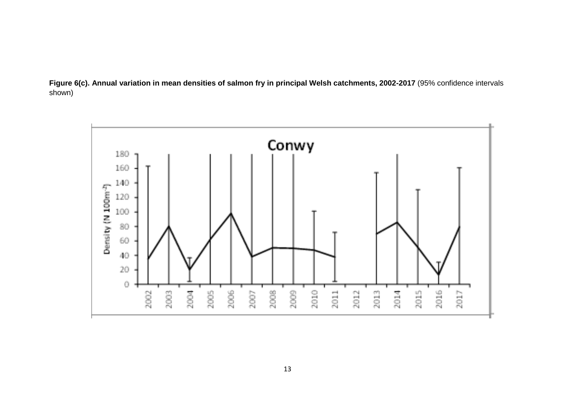

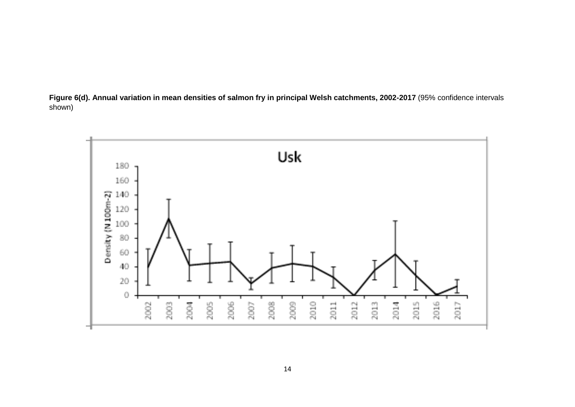

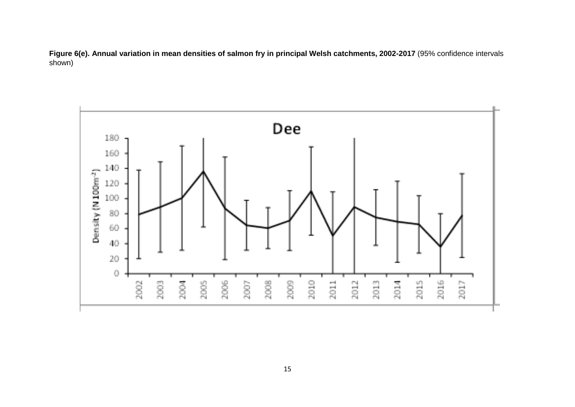**Figure 6(e). Annual variation in mean densities of salmon fry in principal Welsh catchments, 2002-2017** (95% confidence intervals shown)

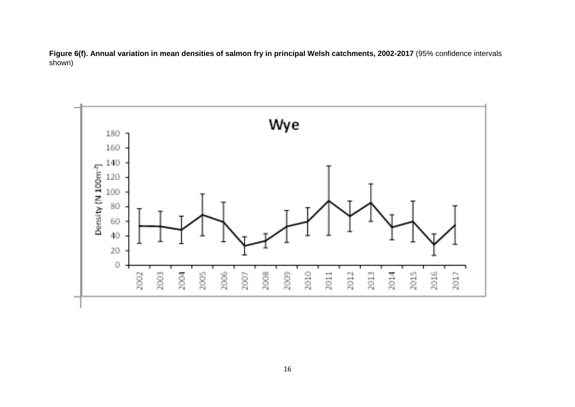**Figure 6(f). Annual variation in mean densities of salmon fry in principal Welsh catchments, 2002-2017** (95% confidence intervals shown)

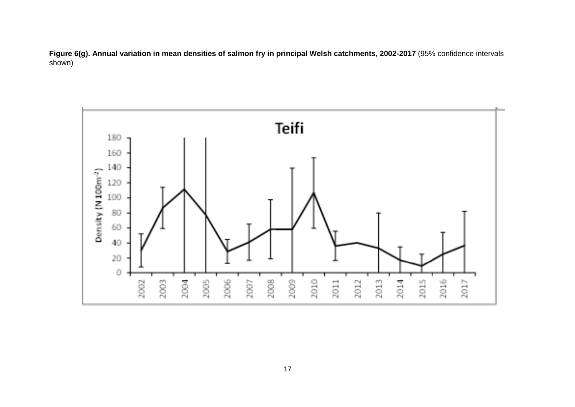**Figure 6(g). Annual variation in mean densities of salmon fry in principal Welsh catchments, 2002-2017** (95% confidence intervals shown)

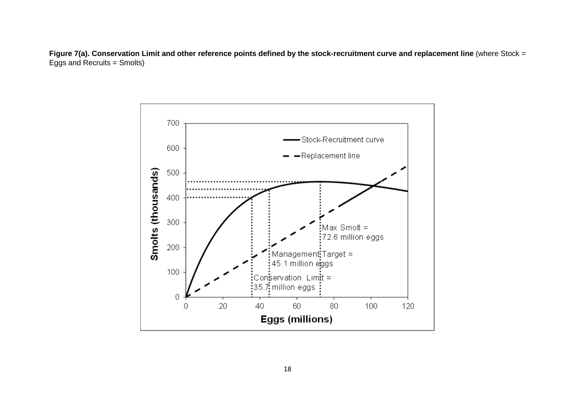**Figure 7(a). Conservation Limit and other reference points defined by the stock-recruitment curve and replacement line** (where Stock = Eggs and Recruits = Smolts)

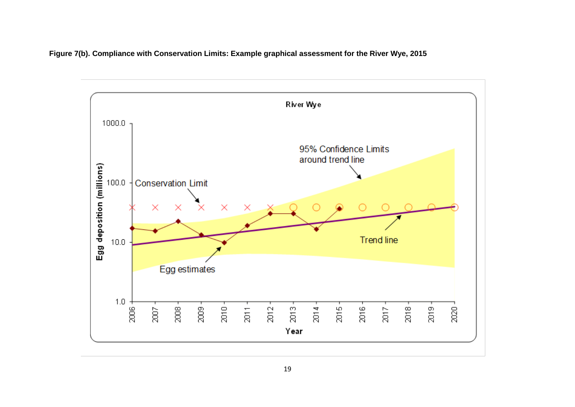**Figure 7(b). Compliance with Conservation Limits: Example graphical assessment for the River Wye, 2015**

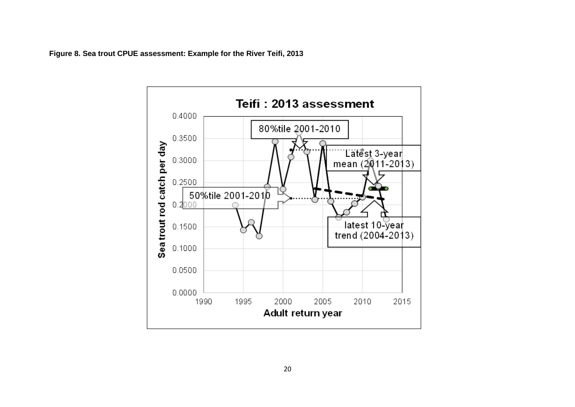**Figure 8. Sea trout CPUE assessment: Example for the River Teifi, 2013**

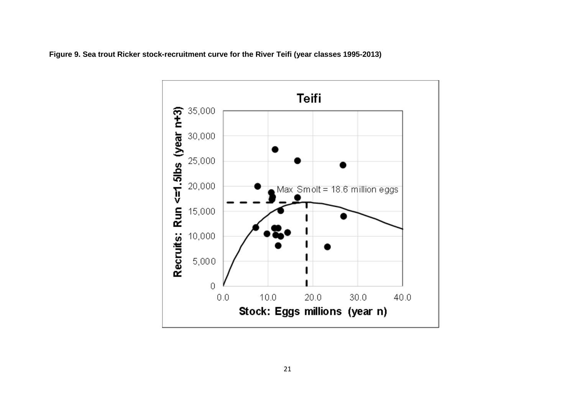

**Figure 9. Sea trout Ricker stock-recruitment curve for the River Teifi (year classes 1995-2013)**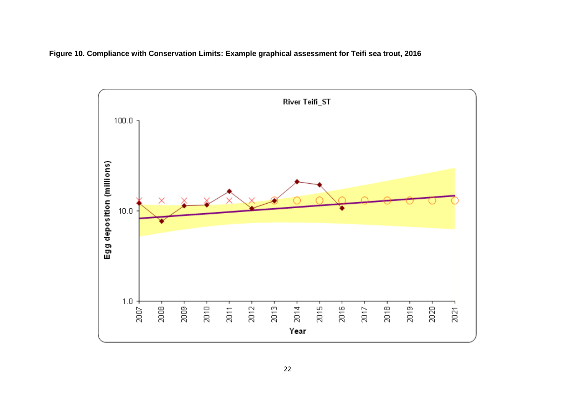

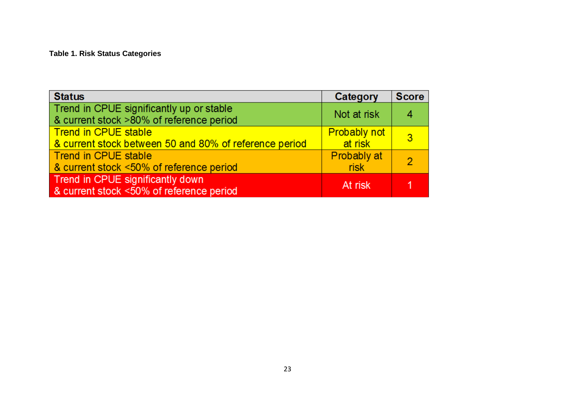**Table 1. Risk Status Categories**

| <b>Status</b>                                                                         | Category                       | <b>Score</b> |
|---------------------------------------------------------------------------------------|--------------------------------|--------------|
| Trend in CPUE significantly up or stable<br>& current stock >80% of reference period  | Not at risk                    |              |
| <b>Trend in CPUE stable</b><br>& current stock between 50 and 80% of reference period | <b>Probably not</b><br>at risk | -3           |
| Trend in CPUE stable<br>& current stock <50% of reference period                      | Probably at<br><b>risk</b>     | -2           |
| Trend in CPUE significantly down<br>& current stock <50% of reference period          | At risk                        |              |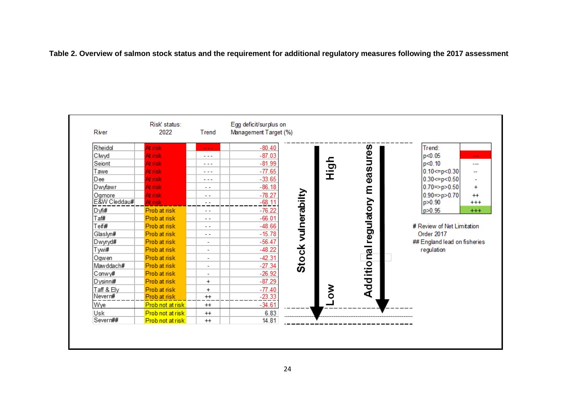**Table 2. Overview of salmon stock status and the requirement for additional regulatory measures following the 2017 assessment**

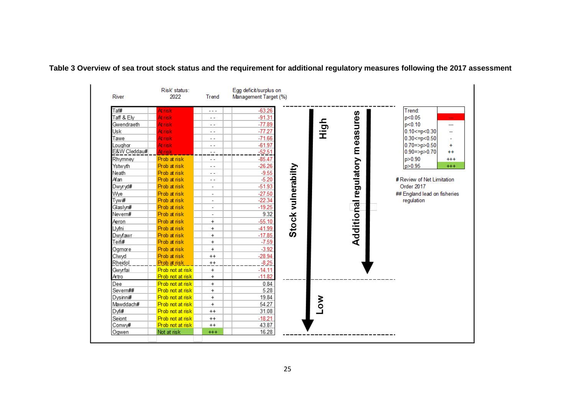

**Table 3 Overview of sea trout stock status and the requirement for additional regulatory measures following the 2017 assessment**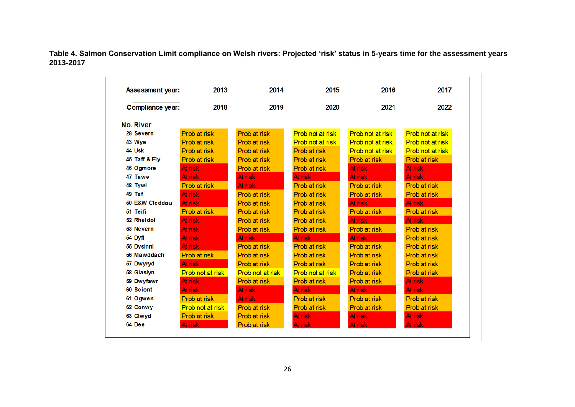**Table 4. Salmon Conservation Limit compliance on Welsh rivers: Projected 'risk' status in 5-years time for the assessment years 2013-2017**

| Assessment year: | 2013             | 2014             | 2015                    | 2016             | 2017             |
|------------------|------------------|------------------|-------------------------|------------------|------------------|
| Compliance year: | 2018             | 2019             | 2020                    | 2021             | 2022             |
| <b>No. River</b> |                  |                  |                         |                  |                  |
| 28 Severn        | Prob at risk     | Prob at risk     | Prob not at risk        | Prob not at risk | Prob not at risk |
| 43 Wye           | Prob at risk     | Prob at risk     | <b>Prob</b> not at risk | Prob not at risk | Prob not at risk |
| 44 Usk           | Prob at risk     | Prob at risk     | Prob at risk            | Prob not at risk | Prob not at risk |
| 45 Taff & Ely    | Prob at risk     | Prob at risk     | Prob at risk            | Prob at risk     | Prob at risk     |
| 46 Ogmore        | At risk          | Prob at risk     | Prob at risk            | At risk          | At risk          |
| 47 Tawe          | At risk          | At risk          | At risk                 | At risk          | At risk          |
| 48 Tywi          | Prob at risk     | At risk          | Prob at risk            | Prob at risk     | Prob at risk     |
| 49 Taf           | At risk          | Prob at risk     | Prob at risk            | Prob at risk     | Prob at risk     |
| 50 E&W Cleddau   | At risk          | Prob at risk     | Prob at risk            | At risk          | At risk          |
| 51 Teifi         | Prob at risk     | Prob at risk     | Prob at risk            | Prob at risk     | Prob at risk     |
| 52 Rheidol       | At risk          | Prob at risk     | Prob at risk            | At risk          | At risk          |
| 53 Nevern        | At risk          | Prob at risk     | Prob at risk            | Prob at risk     | Prob at risk     |
| 54 Dyfi          | At risk          | At risk          | At risk                 | At risk          | Prob at risk     |
| 55 Dysinni       | At risk          | Prob at risk     | Prob at risk            | Prob at risk     | Prob at risk     |
| 56 Mawddach      | Prob at risk     | Prob at risk     | Prob at risk            | Prob at risk     | Prob at risk     |
| 57 Dwyryd        | At risk          | Prob at risk     | Prob at risk            | Prob at risk     | Prob at risk     |
| 58 Glaslyn       | Prob not at risk | Prob not at risk | Prob not at risk        | Prob at risk     | Prob at risk     |
| 59 Dwyfawr       | At risk          | Prob at risk     | Prob at risk            | Prob at risk     | At risk          |
| 60 Seiont        | At risk          | At risk          | At risk                 | At risk          | At risk          |
| 61 Ogwen         | Prob at risk     | At risk          | Prob at risk            | Prob at risk     | Prob at risk     |
| 62 Conwy         | Prob not at risk | Prob at risk     | Prob at risk            | Prob at risk     | Prob at risk     |
| 63 Clwyd         | Prob at risk     | Prob at risk     | At risk                 | At risk          | At risk          |
| 64 Dee           | At risk          | Prob at risk     | At risk                 | At risk          | At risk          |